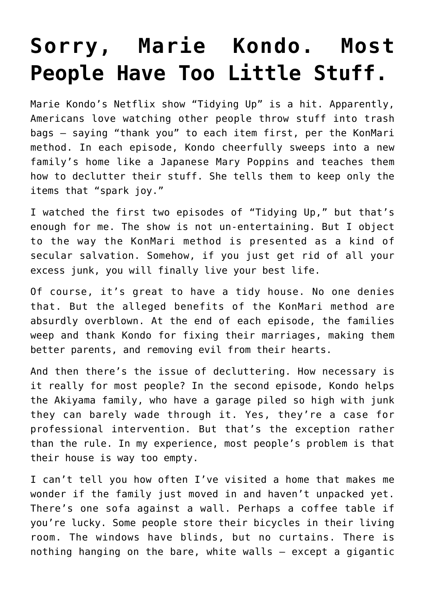## **[Sorry, Marie Kondo. Most](https://intellectualtakeout.org/2019/03/sorry-marie-kondo-most-people-have-too-little-stuff/) [People Have Too Little Stuff.](https://intellectualtakeout.org/2019/03/sorry-marie-kondo-most-people-have-too-little-stuff/)**

Marie Kondo's Netflix show "Tidying Up" is a hit. Apparently, Americans love watching other people throw stuff into trash bags – saying "thank you" to each item first, per the KonMari method. In each episode, Kondo cheerfully sweeps into a new family's home like a Japanese Mary Poppins and teaches them how to declutter their stuff. She tells them to keep only the items that "spark joy."

I watched the first two episodes of "Tidying Up," but that's enough for me. The show is not un-entertaining. But I object to the way the KonMari method is presented as a kind of secular salvation. Somehow, if you just get rid of all your excess junk, you will finally live your best life.

Of course, it's great to have a tidy house. No one denies that. But the alleged benefits of the KonMari method are absurdly overblown. At the end of each episode, the families weep and thank Kondo for fixing their marriages, making them better parents, and removing evil from their hearts.

And then there's the issue of decluttering. How necessary is it really for most people? In the second episode, Kondo helps the Akiyama family, who have a garage piled so high with junk they can barely wade through it. Yes, they're a case for professional intervention. But that's the exception rather than the rule. In my experience, most people's problem is that their house is way too empty.

I can't tell you how often I've visited a home that makes me wonder if the family just moved in and haven't unpacked yet. There's one sofa against a wall. Perhaps a coffee table if you're lucky. Some people store their bicycles in their living room. The windows have blinds, but no curtains. There is nothing hanging on the bare, white walls – except a gigantic